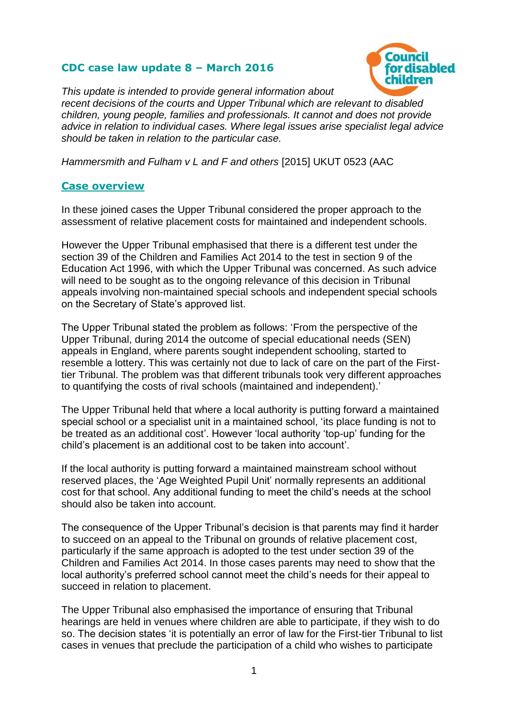## **CDC case law update 8 – March 2016**



*This update is intended to provide general information about recent decisions of the courts and Upper Tribunal which are relevant to disabled children, young people, families and professionals. It cannot and does not provide advice in relation to individual cases. Where legal issues arise specialist legal advice should be taken in relation to the particular case.*

*Hammersmith and Fulham v L and F and others* [2015] UKUT 0523 (AAC

## **Case overview**

In these joined cases the Upper Tribunal considered the proper approach to the assessment of relative placement costs for maintained and independent schools.

However the Upper Tribunal emphasised that there is a different test under the section 39 of the Children and Families Act 2014 to the test in section 9 of the Education Act 1996, with which the Upper Tribunal was concerned. As such advice will need to be sought as to the ongoing relevance of this decision in Tribunal appeals involving non-maintained special schools and independent special schools on the Secretary of State's approved list.

The Upper Tribunal stated the problem as follows: 'From the perspective of the Upper Tribunal, during 2014 the outcome of special educational needs (SEN) appeals in England, where parents sought independent schooling, started to resemble a lottery. This was certainly not due to lack of care on the part of the Firsttier Tribunal. The problem was that different tribunals took very different approaches to quantifying the costs of rival schools (maintained and independent).'

The Upper Tribunal held that where a local authority is putting forward a maintained special school or a specialist unit in a maintained school, 'its place funding is not to be treated as an additional cost'. However 'local authority 'top-up' funding for the child's placement is an additional cost to be taken into account'.

If the local authority is putting forward a maintained mainstream school without reserved places, the 'Age Weighted Pupil Unit' normally represents an additional cost for that school. Any additional funding to meet the child's needs at the school should also be taken into account.

The consequence of the Upper Tribunal's decision is that parents may find it harder to succeed on an appeal to the Tribunal on grounds of relative placement cost, particularly if the same approach is adopted to the test under section 39 of the Children and Families Act 2014. In those cases parents may need to show that the local authority's preferred school cannot meet the child's needs for their appeal to succeed in relation to placement.

The Upper Tribunal also emphasised the importance of ensuring that Tribunal hearings are held in venues where children are able to participate, if they wish to do so. The decision states 'it is potentially an error of law for the First-tier Tribunal to list cases in venues that preclude the participation of a child who wishes to participate